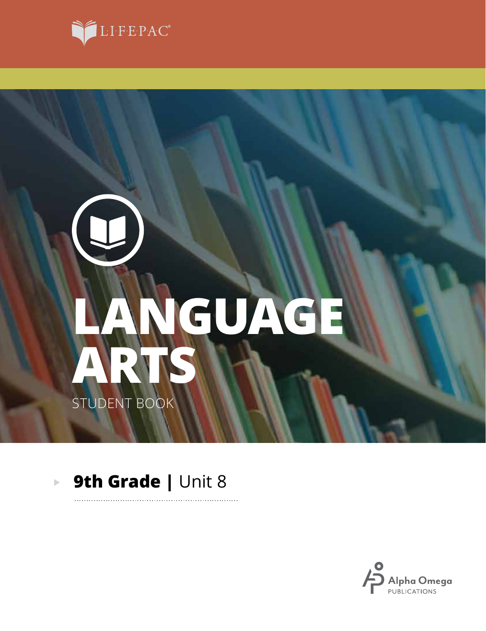

# **ARTS LANGUAGE** STUDENT BOOK

#### **9th Grade | Unit 8**  $\blacktriangleright$

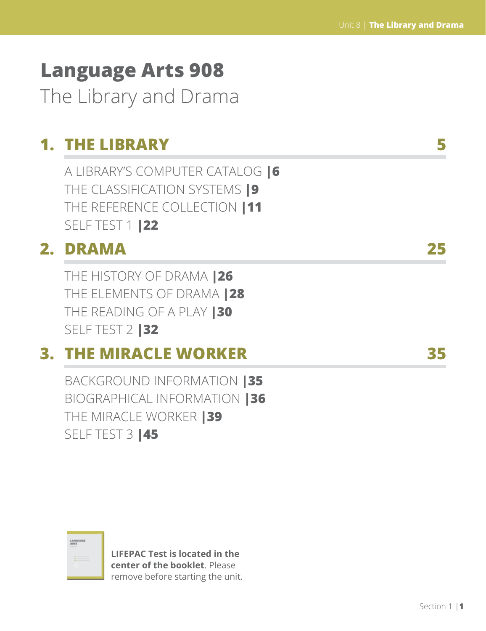# **Language Arts 908** The Library and Drama

## **1. THE LIBRARY 5**

A LIBRARY'S COMPUTER CATALOG **|6** THE CLASSIFICATION SYSTEMS **|9** THE REFERENCE COLLECTION **|11** SELF TEST 1 **|22**

## **2. DRAMA 25**

THE HISTORY OF DRAMA **|26** THE ELEMENTS OF DRAMA **|28** THE READING OF A PLAY **|30** SELF TEST 2 **|32**

## **3. THE MIRACLE WORKER 35**

BACKGROUND INFORMATION **|35** BIOGRAPHICAL INFORMATION **|36** THE MIRACLE WORKER **|39** SELF TEST 3 **|45**

| LANGUAGE<br>ARTS<br><b>STATE OF</b> |       |  |
|-------------------------------------|-------|--|
| $\sim$<br>÷                         | _____ |  |
| ×                                   |       |  |

**LIFEPAC Test is located in the center of the booklet**. Please remove before starting the unit.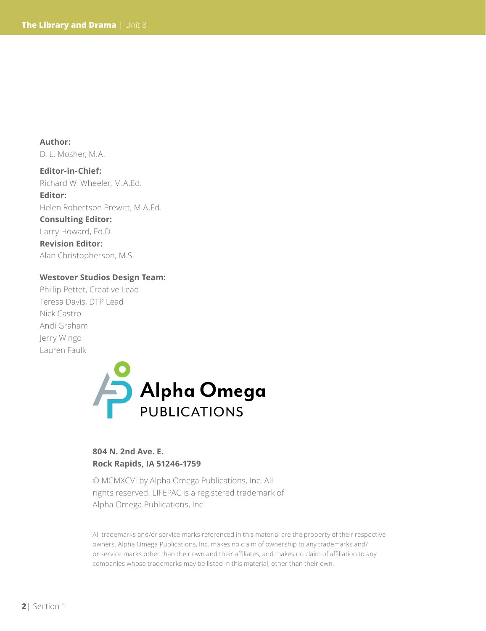**Author:**  D. L. Mosher, M.A.

**Editor-in-Chief:**  Richard W. Wheeler, M.A.Ed.

**Editor:**  Helen Robertson Prewitt, M.A.Ed.

**Consulting Editor:**

Larry Howard, Ed.D. **Revision Editor:** Alan Christopherson, M.S.

#### **Westover Studios Design Team:**

Phillip Pettet, Creative Lead Teresa Davis, DTP Lead Nick Castro Andi Graham Jerry Wingo Lauren Faulk



#### **804 N. 2nd Ave. E. Rock Rapids, IA 51246-1759**

© MCMXCVI by Alpha Omega Publications, Inc. All rights reserved. LIFEPAC is a registered trademark of Alpha Omega Publications, Inc.

All trademarks and/or service marks referenced in this material are the property of their respective owners. Alpha Omega Publications, Inc. makes no claim of ownership to any trademarks and/ or service marks other than their own and their affiliates, and makes no claim of affiliation to any companies whose trademarks may be listed in this material, other than their own.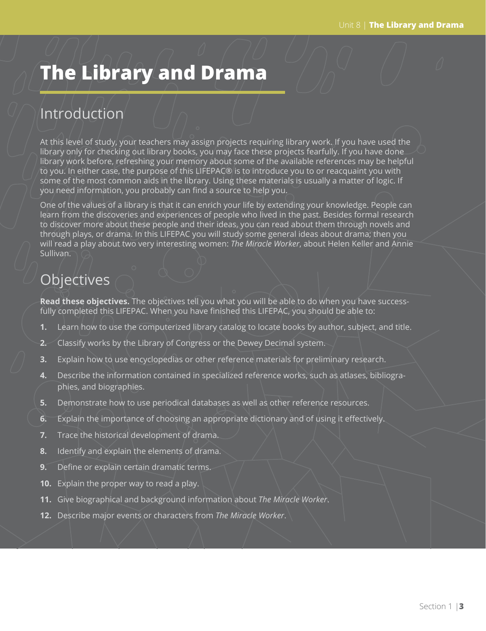# **The Library and Drama**

## **Introduction**

At this level of study, your teachers may assign projects requiring library work. If you have used the library only for checking out library books, you may face these projects fearfully. If you have done library work before, refreshing your memory about some of the available references may be helpful to you. In either case, the purpose of this LIFEPAC® is to introduce you to or reacquaint you with some of the most common aids in the library. Using these materials is usually a matter of logic. If you need information, you probably can find a source to help you.

One of the values of a library is that it can enrich your life by extending your knowledge. People can learn from the discoveries and experiences of people who lived in the past. Besides formal research to discover more about these people and their ideas, you can read about them through novels and through plays, or drama. In this LIFEPAC you will study some general ideas about drama; then you will read a play about two very interesting women: *The Miracle Worker*, about Helen Keller and Annie Sullivan.

## **Objectives**

**Read these objectives.** The objectives tell you what you will be able to do when you have successfully completed this LIFEPAC. When you have finished this LIFEPAC, you should be able to:

- **1.** Learn how to use the computerized library catalog to locate books by author, subject, and title.
- **2.** Classify works by the Library of Congress or the Dewey Decimal system.
- **3.** Explain how to use encyclopedias or other reference materials for preliminary research.
- **4.** Describe the information contained in specialized reference works, such as atlases, bibliographies, and biographies.
- **5.** Demonstrate how to use periodical databases as well as other reference resources.
- **6.** Explain the importance of choosing an appropriate dictionary and of using it effectively.
- **7.** Trace the historical development of drama.
- **8.** Identify and explain the elements of drama.
- **9.** Define or explain certain dramatic terms.
- **10.** Explain the proper way to read a play.
- **11.** Give biographical and background information about *The Miracle Worker*.
- **12.** Describe major events or characters from *The Miracle Worker*.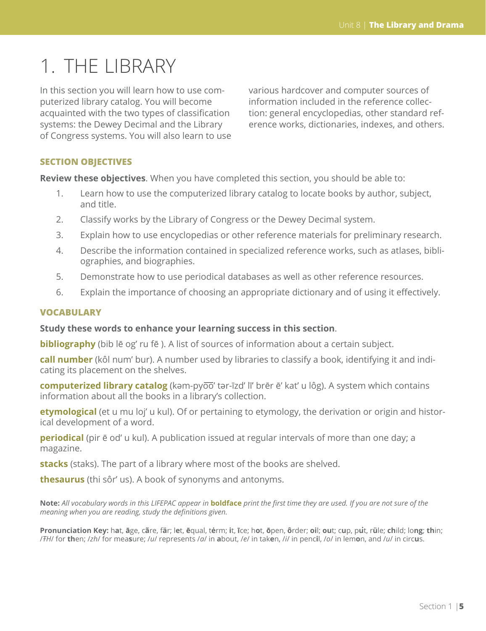# 1. THE LIBRARY

In this section you will learn how to use computerized library catalog. You will become acquainted with the two types of classification systems: the Dewey Decimal and the Library of Congress systems. You will also learn to use various hardcover and computer sources of information included in the reference collection: general encyclopedias, other standard reference works, dictionaries, indexes, and others.

#### **SECTION OBJECTIVES**

**Review these objectives**. When you have completed this section, you should be able to:

- 1. Learn how to use the computerized library catalog to locate books by author, subject, and title.
- 2. Classify works by the Library of Congress or the Dewey Decimal system.
- 3. Explain how to use encyclopedias or other reference materials for preliminary research.
- 4. Describe the information contained in specialized reference works, such as atlases, bibliographies, and biographies.
- 5. Demonstrate how to use periodical databases as well as other reference resources.
- 6. Explain the importance of choosing an appropriate dictionary and of using it effectively.

#### **VOCABULARY**

#### **Study these words to enhance your learning success in this section**.

**bibliography** (bib lē og' ru fē). A list of sources of information about a certain subject.

**call number** (kôl num' bur). A number used by libraries to classify a book, identifying it and indicating its placement on the shelves.

**computerized library catalog** (kәm-pyoo' tәr-īzd' lī' brēr ē' kat' u lôg). A system which contains information about all the books in a library's collection.

**etymological** (et u mu loj' u kul). Of or pertaining to etymology, the derivation or origin and historical development of a word.

**periodical** (pir  $\bar{e}$  od' u kul). A publication issued at regular intervals of more than one day; a magazine.

**stacks** (staks). The part of a library where most of the books are shelved.

**thesaurus** (thi sôr' us). A book of synonyms and antonyms.

**Note:** *All vocabulary words in this LIFEPAC appear in* **boldface** *print the first time they are used. If you are not sure of the meaning when you are reading, study the definitions given.*

Pronunciation Key: hat, āge, cãre, fär; let, ēqual, tėrm; it, īce; hot, ōpen, ôrder; oil; out; cup, put, rüle; child; long; thin; /FH/ for then; /zh/ for measure; /u/ represents /a/ in about, /e/ in taken, /i/ in pencil, /o/ in lemon, and /u/ in circus.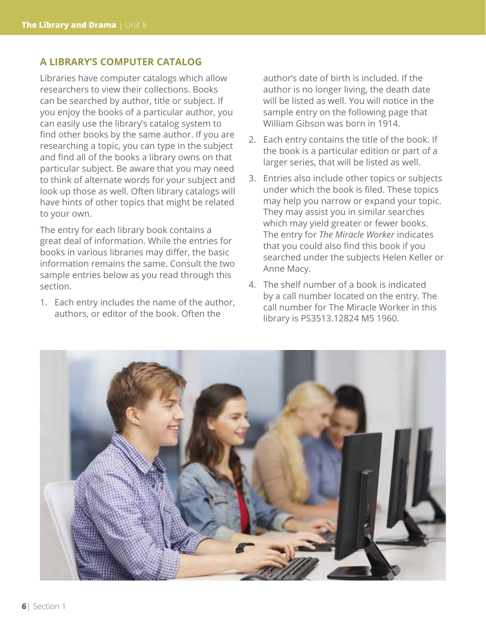#### **A LIBRARY'S COMPUTER CATALOG**

Libraries have computer catalogs which allow researchers to view their collections. Books can be searched by author, title or subject. If you enjoy the books of a particular author, you can easily use the library's catalog system to find other books by the same author. If you are researching a topic, you can type in the subject and find all of the books a library owns on that particular subject. Be aware that you may need to think of alternate words for your subject and look up those as well. Often library catalogs will have hints of other topics that might be related to your own.

The entry for each library book contains a great deal of information. While the entries for books in various libraries may differ, the basic information remains the same. Consult the two sample entries below as you read through this section.

1. Each entry includes the name of the author, authors, or editor of the book. Often the

author's date of birth is included. If the author is no longer living, the death date will be listed as well. You will notice in the sample entry on the following page that William Gibson was born in 1914.

- 2. Each entry contains the title of the book. If the book is a particular edition or part of a larger series, that will be listed as well.
- 3. Entries also include other topics or subjects under which the book is filed. These topics may help you narrow or expand your topic. They may assist you in similar searches which may yield greater or fewer books. The entry for *The Miracle Worker* indicates that you could also find this book if you searched under the subjects Helen Keller or Anne Macy.
- 4. The shelf number of a book is indicated by a call number located on the entry. The call number for The Miracle Worker in this library is PS3513.12824 M5 1960.

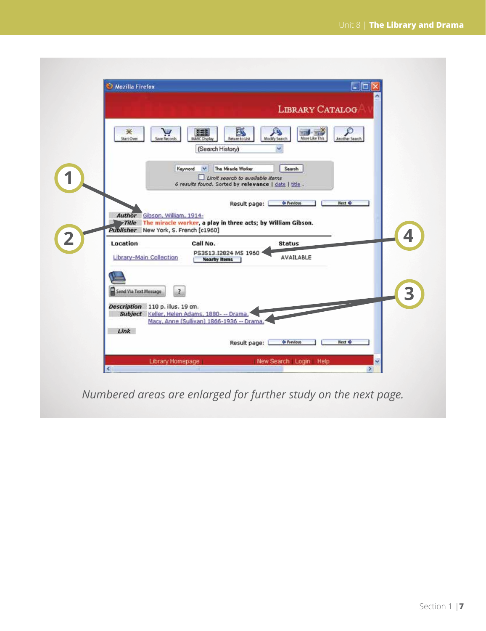| ao<br><b>Mozilla Firefox</b>                                                                                                                                                                            |
|---------------------------------------------------------------------------------------------------------------------------------------------------------------------------------------------------------|
| <b>LIBRARY CATALOG</b>                                                                                                                                                                                  |
| B<br>雛<br>⋇<br>$\sum_{\text{low levels}}$<br>More Like This<br><b>Start Over</b><br>Return to List<br>Modify Search<br><b>MARC Displa</b><br>Another Search<br>(Search History)<br>$\ddot{\phantom{1}}$ |
| The Miracle Worker<br>Search<br>Keyword<br>M<br>Limit search to available items<br>6 results found. Sorted by relevance   date   title .                                                                |
| <b>Hext</b> $\Phi$<br>Result page:<br><b>Continued</b><br>Author Gibson, William, 1914-<br>Title The miracle worker, a play in three acts; by William Gibson.                                           |
| Publisher New York, S. French [c1960]                                                                                                                                                                   |
| 4<br>Call No.<br>Location<br><b>Status</b><br>PS3513.I2824 MS 1960<br>Library-Main Collection<br>AVAILABLE<br><b>Nearby Items</b>                                                                       |
| 3<br>Send Via Text Message<br>$\mathbf{R}$                                                                                                                                                              |
| Description 110 p. illus. 19 cm.<br>Subject Keller, Helen Adams, 1880- -- Drama,<br>Macy, Anne (Sullivan) 1866-1936 -- Drama,<br>Link<br><b>de Previous</b><br><b>Next @</b><br>Result page:            |

*Numbered areas are enlarged for further study on the next page.*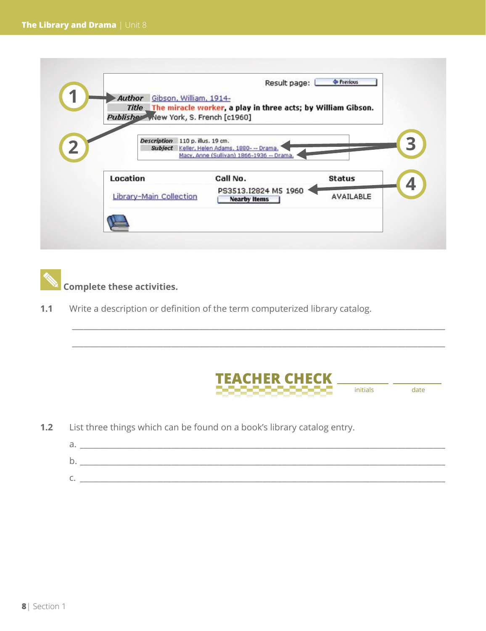|          | Author Gibson, William, 1914-         | Title The miracle worker, a play in three acts; by William Gibson. |                  |
|----------|---------------------------------------|--------------------------------------------------------------------|------------------|
|          | Publisher Wew York, S. French [c1960] |                                                                    |                  |
|          | Description 110 p. illus. 19 cm.      | Subject Keller, Helen Adams, 1880--- Drama.                        |                  |
|          |                                       | Macy, Anne (Sullivan) 1866-1936 -- Drama,                          |                  |
| Location |                                       | Call No.                                                           | <b>Status</b>    |
|          | Library-Main Collection               | PS3513.I2824 M5 1960<br><b>Nearby Items</b>                        | <b>AVAILABLE</b> |

 **Complete these activities.**

**1.1** Write a description or definition of the term computerized library catalog.



**1.2** List three things which can be found on a book's library catalog entry.

| ∽<br>d. |  |
|---------|--|
| ∽<br>ັ  |  |
| ∼<br>◡  |  |

\_\_\_\_\_\_\_\_\_\_\_\_\_\_\_\_\_\_\_\_\_\_\_\_\_\_\_\_\_\_\_\_\_\_\_\_\_\_\_\_\_\_\_\_\_\_\_\_\_\_\_\_\_\_\_\_\_\_\_\_\_\_\_\_\_\_\_\_\_\_\_\_\_\_\_\_\_\_\_\_\_\_\_\_\_\_\_\_\_\_\_\_\_\_

\_\_\_\_\_\_\_\_\_\_\_\_\_\_\_\_\_\_\_\_\_\_\_\_\_\_\_\_\_\_\_\_\_\_\_\_\_\_\_\_\_\_\_\_\_\_\_\_\_\_\_\_\_\_\_\_\_\_\_\_\_\_\_\_\_\_\_\_\_\_\_\_\_\_\_\_\_\_\_\_\_\_\_\_\_\_\_\_\_\_\_\_\_\_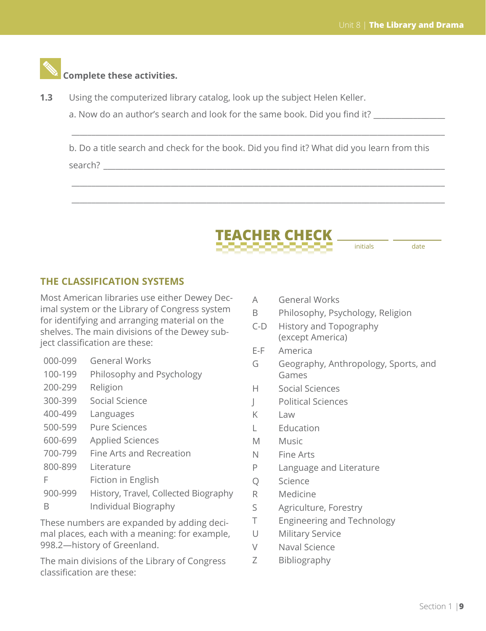#### **Complete these activities.**

- **1.3** Using the computerized library catalog, look up the subject Helen Keller.
	- a. Now do an author's search and look for the same book. Did you find it? \_\_\_\_\_\_\_

b. Do a title search and check for the book. Did you find it? What did you learn from this search? \_\_\_\_\_\_\_\_\_\_\_\_\_\_\_\_\_\_\_\_\_\_\_\_\_\_\_\_\_\_\_\_\_\_\_\_\_\_\_\_\_\_\_\_\_\_\_\_\_\_\_\_\_\_\_\_\_\_\_\_\_\_\_\_\_\_\_\_\_\_\_\_\_\_\_\_\_\_\_\_\_\_\_\_\_\_

\_\_\_\_\_\_\_\_\_\_\_\_\_\_\_\_\_\_\_\_\_\_\_\_\_\_\_\_\_\_\_\_\_\_\_\_\_\_\_\_\_\_\_\_\_\_\_\_\_\_\_\_\_\_\_\_\_\_\_\_\_\_\_\_\_\_\_\_\_\_\_\_\_\_\_\_\_\_\_\_\_\_\_\_\_\_\_\_\_\_\_\_\_\_

\_\_\_\_\_\_\_\_\_\_\_\_\_\_\_\_\_\_\_\_\_\_\_\_\_\_\_\_\_\_\_\_\_\_\_\_\_\_\_\_\_\_\_\_\_\_\_\_\_\_\_\_\_\_\_\_\_\_\_\_\_\_\_\_\_\_\_\_\_\_\_\_\_\_\_\_\_\_\_\_\_\_\_\_\_\_\_\_\_\_\_\_\_\_

\_\_\_\_\_\_\_\_\_\_\_\_\_\_\_\_\_\_\_\_\_\_\_\_\_\_\_\_\_\_\_\_\_\_\_\_\_\_\_\_\_\_\_\_\_\_\_\_\_\_\_\_\_\_\_\_\_\_\_\_\_\_\_\_\_\_\_\_\_\_\_\_\_\_\_\_\_\_\_\_\_\_\_\_\_\_\_\_\_\_\_\_\_\_



initials date

#### **THE CLASSIFICATION SYSTEMS**

Most American libraries use either Dewey Decimal system or the Library of Congress system for identifying and arranging material on the shelves. The main divisions of the Dewey subject classification are these:

- 000-099 General Works
- 100-199 Philosophy and Psychology
- 200-299 Religion
- 300-399 Social Science
- 400-499 Languages
- 500-599 Pure Sciences
- 600-699 Applied Sciences
- 700-799 Fine Arts and Recreation
- 800-899 Literature
- F Fiction in English
- 900-999 History, Travel, Collected Biography B Individual Biography

These numbers are expanded by adding decimal places, each with a meaning: for example, 998.2—history of Greenland.

The main divisions of the Library of Congress classification are these:

- A General Works
- B Philosophy, Psychology, Religion
- C-D History and Topography (except America)
- E-F America
- G Geography, Anthropology, Sports, and Games
- H Social Sciences
- J Political Sciences
- $K$  Law
- L Education
- M Music
- N Fine Arts
- P Language and Literature
- Q Science
- R Medicine
- S Agriculture, Forestry
- T Engineering and Technology
- U Military Service
- V Naval Science
- Z Bibliography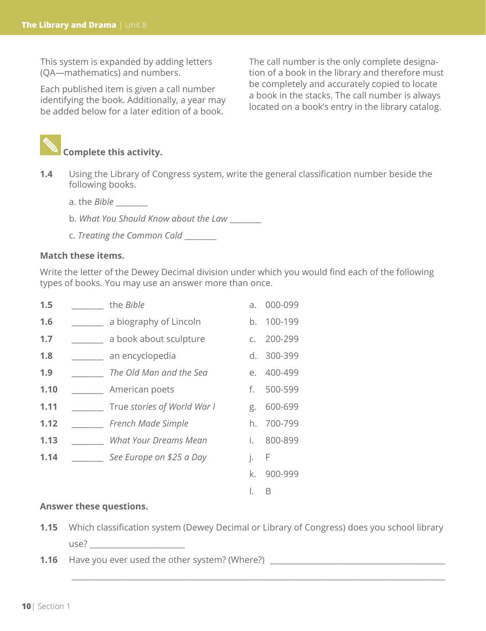This system is expanded by adding letters (QA—mathematics) and numbers.

Each published item is given a call number identifying the book. Additionally, a year may be added below for a later edition of a book.

The call number is the only complete designation of a book in the library and therefore must be completely and accurately copied to locate a book in the stacks. The call number is always located on a book's entry in the library catalog.



- **1.4** Using the Library of Congress system, write the general classification number beside the following books.
	- a. the *Bible* \_\_\_\_\_\_\_\_
	- b. *What You Should Know about the Law* \_\_\_\_\_\_\_\_
	- c. *Treating the Common Cold* \_\_\_\_\_\_\_\_

#### **Match these items.**

Write the letter of the Dewey Decimal division under which you would find each of the following types of books. You may use an answer more than once.

| 1.5  | the <i>Bible</i>             | a.             | 000-099 |
|------|------------------------------|----------------|---------|
| 1.6  | a biography of Lincoln       | b.             | 100-199 |
| 1.7  | a book about sculpture       | $\mathsf{C}$ . | 200-299 |
| 1.8  | an encyclopedia              | $d_{-}$        | 300-399 |
| 1.9  | The Old Man and the Sea      | $e_{1}$        | 400-499 |
| 1.10 | American poets               | f.             | 500-599 |
| 1.11 | True stories of World War I  | g.             | 600-699 |
| 1.12 | French Made Simple           | h.             | 700-799 |
| 1.13 | <b>What Your Dreams Mean</b> | i.             | 800-899 |
| 1.14 | See Europe on \$25 a Day     | j.             | F       |
|      |                              | k.             | 900-999 |
|      |                              | Ι.             | В       |

#### **Answer these questions.**

**1.15** Which classification system (Dewey Decimal or Library of Congress) does you school library  $use?$ 

\_\_\_\_\_\_\_\_\_\_\_\_\_\_\_\_\_\_\_\_\_\_\_\_\_\_\_\_\_\_\_\_\_\_\_\_\_\_\_\_\_\_\_\_\_\_\_\_\_\_\_\_\_\_\_\_\_\_\_\_\_\_\_\_\_\_\_\_\_\_\_\_\_\_\_\_\_\_\_\_\_\_\_\_\_\_\_\_\_\_\_\_\_\_

**1.16** Have you ever used the other system? (Where?) \_\_\_\_\_\_\_\_\_\_\_\_\_\_\_\_\_\_\_\_\_\_\_\_\_\_\_\_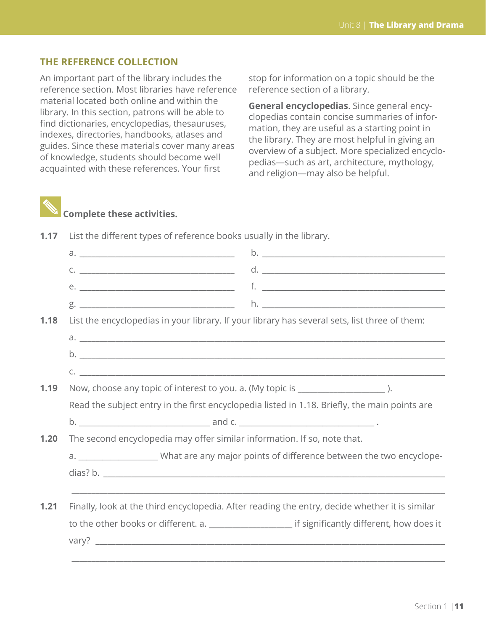#### **THE REFERENCE COLLECTION**

An important part of the library includes the reference section. Most libraries have reference material located both online and within the library. In this section, patrons will be able to find dictionaries, encyclopedias, thesauruses, indexes, directories, handbooks, atlases and guides. Since these materials cover many areas of knowledge, students should become well acquainted with these references. Your first

stop for information on a topic should be the reference section of a library.

**General encyclopedias**. Since general encyclopedias contain concise summaries of information, they are useful as a starting point in the library. They are most helpful in giving an overview of a subject. More specialized encyclopedias—such as art, architecture, mythology, and religion—may also be helpful.



### **Complete these activities.**

|      | $C.$ $\frac{1}{2}$ $\frac{1}{2}$ $\frac{1}{2}$ $\frac{1}{2}$ $\frac{1}{2}$ $\frac{1}{2}$ $\frac{1}{2}$ $\frac{1}{2}$ $\frac{1}{2}$ $\frac{1}{2}$ $\frac{1}{2}$ $\frac{1}{2}$ $\frac{1}{2}$ $\frac{1}{2}$ $\frac{1}{2}$ $\frac{1}{2}$ $\frac{1}{2}$ $\frac{1}{2}$ $\frac{1}{2}$ $\frac{1}{2}$ $\frac{1}{2}$ $\frac{1}{$ |  |  |  |  |
|------|------------------------------------------------------------------------------------------------------------------------------------------------------------------------------------------------------------------------------------------------------------------------------------------------------------------------|--|--|--|--|
|      |                                                                                                                                                                                                                                                                                                                        |  |  |  |  |
|      |                                                                                                                                                                                                                                                                                                                        |  |  |  |  |
| 1.18 | List the encyclopedias in your library. If your library has several sets, list three of them:                                                                                                                                                                                                                          |  |  |  |  |
|      |                                                                                                                                                                                                                                                                                                                        |  |  |  |  |
|      |                                                                                                                                                                                                                                                                                                                        |  |  |  |  |
|      |                                                                                                                                                                                                                                                                                                                        |  |  |  |  |
| 1.19 | Now, choose any topic of interest to you. a. (My topic is _____________________).                                                                                                                                                                                                                                      |  |  |  |  |
|      | Read the subject entry in the first encyclopedia listed in 1.18. Briefly, the main points are                                                                                                                                                                                                                          |  |  |  |  |
|      |                                                                                                                                                                                                                                                                                                                        |  |  |  |  |
| 1.20 | The second encyclopedia may offer similar information. If so, note that.                                                                                                                                                                                                                                               |  |  |  |  |
|      | a. ________________________What are any major points of difference between the two encyclope-                                                                                                                                                                                                                          |  |  |  |  |
|      |                                                                                                                                                                                                                                                                                                                        |  |  |  |  |
|      |                                                                                                                                                                                                                                                                                                                        |  |  |  |  |
| 1.21 | Finally, look at the third encyclopedia. After reading the entry, decide whether it is similar                                                                                                                                                                                                                         |  |  |  |  |
|      | to the other books or different. a. ________________________ if significantly different, how does it                                                                                                                                                                                                                   |  |  |  |  |
|      |                                                                                                                                                                                                                                                                                                                        |  |  |  |  |
|      |                                                                                                                                                                                                                                                                                                                        |  |  |  |  |

**1.17** List the different types of reference books usually in the library.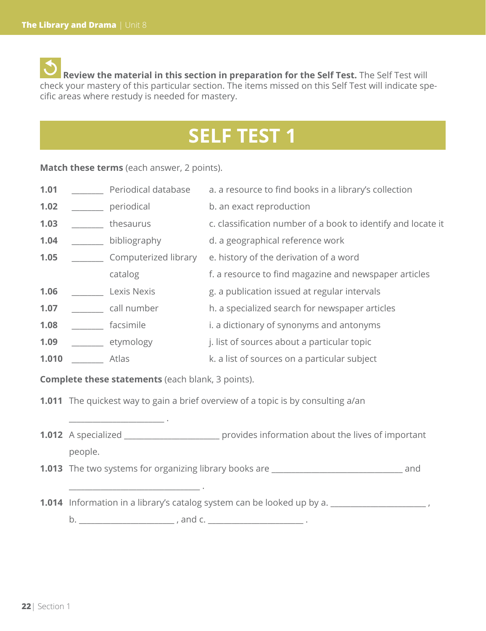**Review the material in this section in preparation for the Self Test.** The Self Test will check your mastery of this particular section. The items missed on this Self Test will indicate specific areas where restudy is needed for mastery.

## **SELF TEST 1**

**Match these terms** (each answer, 2 points).

| 1.01  | Periodical database  | a. a resource to find books in a library's collection        |
|-------|----------------------|--------------------------------------------------------------|
| 1.02  | periodical           | b. an exact reproduction                                     |
| 1.03  | thesaurus            | c. classification number of a book to identify and locate it |
| 1.04  | bibliography         | d. a geographical reference work                             |
| 1.05  | Computerized library | e. history of the derivation of a word                       |
|       | catalog              | f. a resource to find magazine and newspaper articles        |
| 1.06  | Lexis Nexis          | g. a publication issued at regular intervals                 |
| 1.07  | call number          | h. a specialized search for newspaper articles               |
| 1.08  | facsimile            | i. a dictionary of synonyms and antonyms                     |
| 1.09  | etymology            | j. list of sources about a particular topic                  |
| 1.010 | Atlas                | k. a list of sources on a particular subject                 |

**Complete these statements** (each blank, 3 points).

 $\mathcal{L}_\text{max}$  . The set of the set of the set of the set of the set of the set of the set of the set of the set of the set of the set of the set of the set of the set of the set of the set of the set of the set of the set

\_\_\_\_\_\_\_\_\_\_\_\_\_\_\_\_\_\_\_\_\_\_\_\_\_\_\_\_\_\_\_\_\_ .

**1.011** The quickest way to gain a brief overview of a topic is by consulting a/an

- **1.012** A specialized \_\_\_\_\_\_\_\_\_\_\_\_\_\_\_\_\_\_\_\_\_\_\_\_ provides information about the lives of important people.
- **1.013** The two systems for organizing library books are **with any contract and** and
- **1.014** Information in a library's catalog system can be looked up by a. \_\_\_\_\_\_\_\_\_\_\_\_\_\_\_\_\_\_\_\_\_\_\_\_\_\_

b. \_\_\_\_\_\_\_\_\_\_\_\_\_\_\_\_\_\_\_\_\_\_\_\_ , and c. \_\_\_\_\_\_\_\_\_\_\_\_\_\_\_\_\_\_\_\_\_\_\_\_ .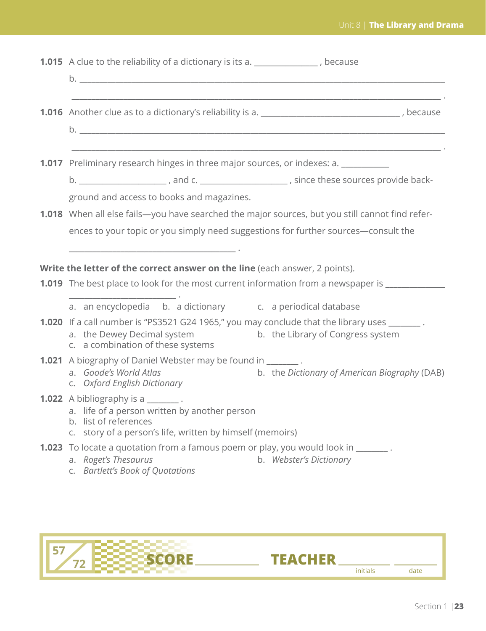| <b>1.015</b> A clue to the reliability of a dictionary is its a. ______________, because                                                                                                                                                                                                                                                                                                                                     |
|------------------------------------------------------------------------------------------------------------------------------------------------------------------------------------------------------------------------------------------------------------------------------------------------------------------------------------------------------------------------------------------------------------------------------|
| <b>1.016</b> Another clue as to a dictionary's reliability is a. __________________________________, because                                                                                                                                                                                                                                                                                                                 |
| the control of the control of the control of the control of the control of the control of the control of the control of the control of the control of the control of the control of the control of the control of the control<br><b>1.017</b> Preliminary research hinges in three major sources, or indexes: a. ______<br>b. ________________________, and c. __________________________, since these sources provide back- |
| ground and access to books and magazines.<br>1.018 When all else fails-you have searched the major sources, but you still cannot find refer-<br>ences to your topic or you simply need suggestions for further sources-consult the                                                                                                                                                                                           |
| Write the letter of the correct answer on the line (each answer, 2 points).<br><b>1.019</b> The best place to look for the most current information from a newspaper is ___________                                                                                                                                                                                                                                          |
| a. an encyclopedia b. a dictionary c. a periodical database<br>1.020 If a call number is "PS3521 G24 1965," you may conclude that the library uses _______.<br>a. the Dewey Decimal system<br>b. the Library of Congress system<br>c. a combination of these systems                                                                                                                                                         |
| <b>1.021</b> A biography of Daniel Webster may be found in ________.<br>b. the Dictionary of American Biography (DAB)<br>a. Goode's World Atlas<br>c. Oxford English Dictionary                                                                                                                                                                                                                                              |
| 1.022 A bibliography is a ________.<br>a. life of a person written by another person<br>b. list of references<br>c. story of a person's life, written by himself (memoirs)                                                                                                                                                                                                                                                   |
| <b>1.023</b> To locate a quotation from a famous poem or play, you would look in ______.<br>a. Roget's Thesaurus<br>b. Webster's Dictionary<br>c. Bartlett's Book of Quotations                                                                                                                                                                                                                                              |
|                                                                                                                                                                                                                                                                                                                                                                                                                              |